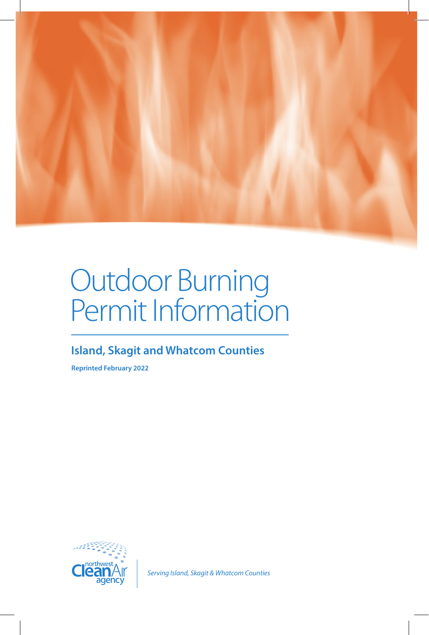

# Outdoor Burning Permit Information

### **Island, Skagit and Whatcom Counties**

**Reprinted February 2022**



*Serving Island, Skagit & Whatcom Counties*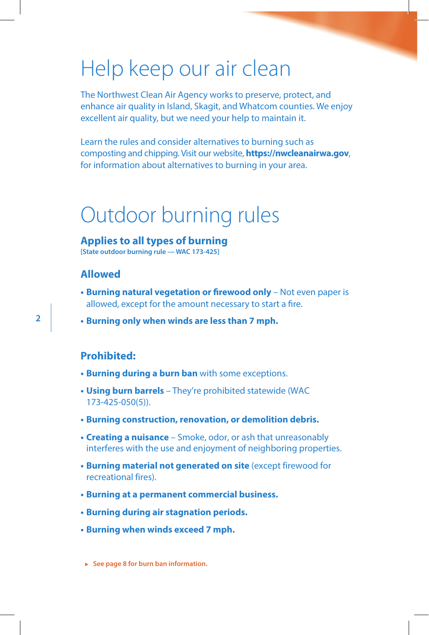### Help keep our air clean

The Northwest Clean Air Agency works to preserve, protect, and enhance air quality in Island, Skagit, and Whatcom counties. We enjoy excellent air quality, but we need your help to maintain it.

Learn the rules and consider alternatives to burning such as composting and chipping. Visit our website, **https://nwcleanairwa.gov**, for information about alternatives to burning in your area.

### Outdoor burning rules

#### **Applies to all types of burning**

**[State outdoor burning rule — WAC 173-425]**

#### **Allowed**

**2**

- **Burning natural vegetation or firewood only** Not even paper is allowed, except for the amount necessary to start a fire.
- **Burning only when winds are less than 7 mph.**

#### **Prohibited:**

- **Burning during a burn ban** with some exceptions.
- **Using burn barrels** They're prohibited statewide (WAC 173-425-050(5)).
- **Burning construction, renovation, or demolition debris.**
- **Creating a nuisance** Smoke, odor, or ash that unreasonably interferes with the use and enjoyment of neighboring properties.
- **Burning material not generated on site** (except firewood for recreational fires).
- **Burning at a permanent commercial business.**
- **Burning during air stagnation periods.**
- **Burning when winds exceed 7 mph.**

► See page 8 for burn ban information.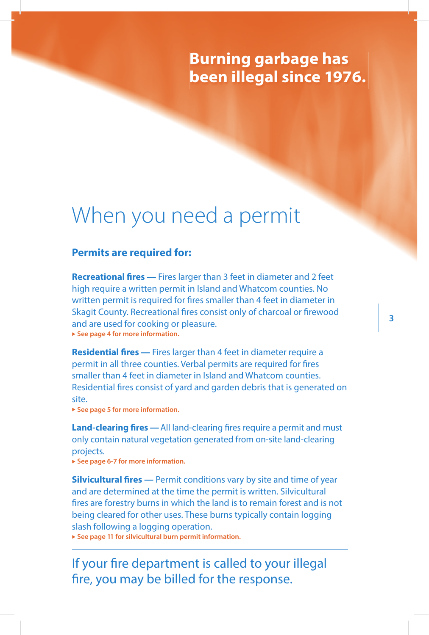### **Burning garbage has been illegal since 1976.**

### When you need a permit

#### **Permits are required for:**

**Recreational fires —** Fires larger than 3 feet in diameter and 2 feet high require a written permit in Island and Whatcom counties. No written permit is required for fires smaller than 4 feet in diameter in Skagit County. Recreational fires consist only of charcoal or firewood and are used for cooking or pleasure. ► See page 4 for more information.

**Residential fires —** Fires larger than 4 feet in diameter require a permit in all three counties. Verbal permits are required for fires smaller than 4 feet in diameter in Island and Whatcom counties. Residential fires consist of yard and garden debris that is generated on site.

► See page 5 for more information.

**Land-clearing fires —**All land-clearing fires require a permit and must only contain natural vegetation generated from on-site land-clearing projects.

▶ See page 6-7 for more information.

**Silvicultural fires** — Permit conditions vary by site and time of year and are determined at the time the permit is written. Silvicultural fires are forestry burns in which the land is to remain forest and is not being cleared for other uses. These burns typically contain logging slash following a logging operation.

▶ See page 11 for silvicultural burn permit information.

If your fire department is called to your illegal fire, you may be billed for the response.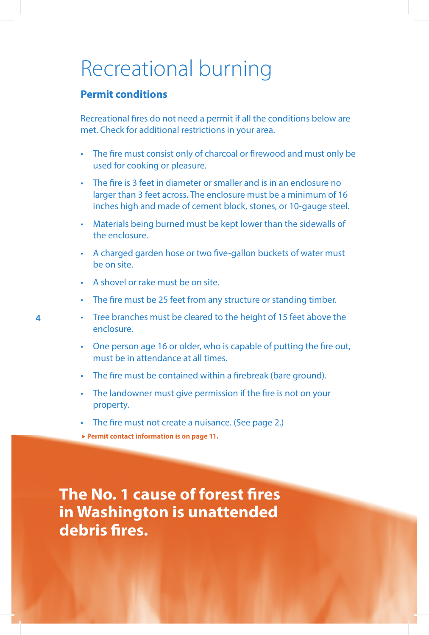### Recreational burning

#### **Permit conditions**

Recreational fires do not need a permit if all the conditions below are met. Check for additional restrictions in your area.

- The fire must consist only of charcoal or firewood and must only be used for cooking or pleasure.
- The fire is 3 feet in diameter or smaller and is in an enclosure no larger than 3 feet across. The enclosure must be a minimum of 16 inches high and made of cement block, stones, or 10-gauge steel.
- Materials being burned must be kept lower than the sidewalls of the enclosure.
- A charged garden hose or two five-gallon buckets of water must be on site.
- A shovel or rake must be on site.
- The fire must be 25 feet from any structure or standing timber.
- Tree branches must be cleared to the height of 15 feet above the enclosure.
- One person age 16 or older, who is capable of putting the fire out, must be in attendance at all times.
- The fire must be contained within a firebreak (bare ground).
- The landowner must give permission if the fire is not on your property.
- The fire must not create a nuisance. (See page 2.)
- ▶ Permit contact information is on page 11.

**The No. 1 cause of forest fires in Washington is unattended debris fires.**

**4**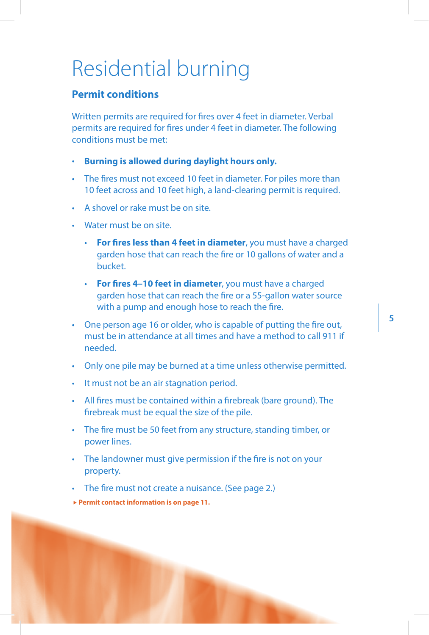### Residential burning

#### **Permit conditions**

Written permits are required for fires over 4 feet in diameter. Verbal permits are required for fires under 4 feet in diameter. The following conditions must be met:

- **Burning is allowed during daylight hours only.**
- The fires must not exceed 10 feet in diameter. For piles more than 10 feet across and 10 feet high, a land-clearing permit is required.
- A shovel or rake must be on site.
- Water must be on site.
	- **For fires less than 4 feet in diameter**, you must have a charged garden hose that can reach the fire or 10 gallons of water and a bucket.
	- **For fires 4–10 feet in diameter**, you must have a charged garden hose that can reach the fire or a 55-gallon water source with a pump and enough hose to reach the fire.
- One person age 16 or older, who is capable of putting the fire out, must be in attendance at all times and have a method to call 911 if needed.
- Only one pile may be burned at a time unless otherwise permitted.
- It must not be an air stagnation period.
- All fires must be contained within a firebreak (bare ground). The firebreak must be equal the size of the pile.
- The fire must be 50 feet from any structure, standing timber, or power lines.
- The landowner must give permission if the fire is not on your property.
- The fire must not create a nuisance. (See page 2.)

▶ Permit contact information is on page 11.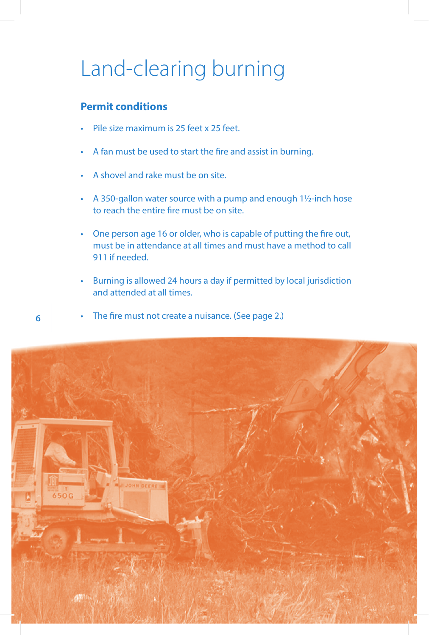## Land-clearing burning

#### **Permit conditions**

- Pile size maximum is 25 feet x 25 feet.
- A fan must be used to start the fire and assist in burning.
- A shovel and rake must be on site.
- A 350-gallon water source with a pump and enough 11/2-inch hose to reach the entire fire must be on site.
- One person age 16 or older, who is capable of putting the fire out, must be in attendance at all times and must have a method to call 911 if needed.
- Burning is allowed 24 hours a day if permitted by local jurisdiction and attended at all times.
- The fire must not create a nuisance. (See page 2.)



**6**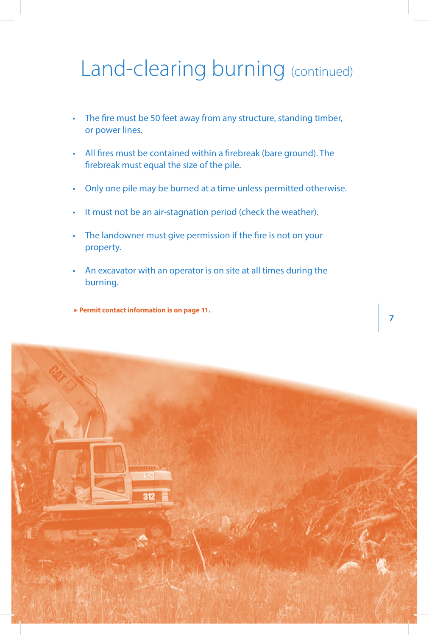## Land-clearing burning (continued)

- The fire must be 50 feet away from any structure, standing timber, or power lines.
- All fires must be contained within a firebreak (bare ground). The firebreak must equal the size of the pile.
- Only one pile may be burned at a time unless permitted otherwise.
- It must not be an air-stagnation period (check the weather).
- The landowner must give permission if the fire is not on your property.
- An excavator with an operator is on site at all times during the burning.

**7**

► Permit contact information is on page 11.

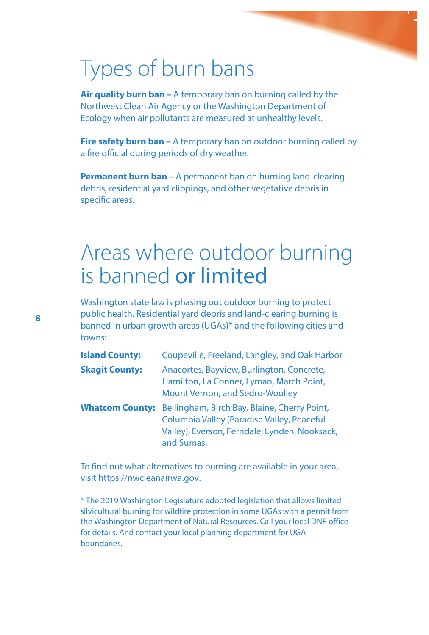### Types of burn bans

**Air quality burn ban –** A temporary ban on burning called by the Northwest Clean Air Agency or the Washington Department of Ecology when air pollutants are measured at unhealthy levels.

**Fire safety burn ban** – A temporary ban on outdoor burning called by a fire official during periods of dry weather.

**Permanent burn ban –** A permanent ban on burning land-clearing debris, residential yard clippings, and other vegetative debris in specific areas.

### Areas where outdoor burning is banned or limited

Washington state law is phasing out outdoor burning to protect public health. Residential yard debris and land-clearing burning is banned in urban growth areas (UGAs)\* and the following cities and towns:

| <b>Island County:</b>  | Coupeville, Freeland, Langley, and Oak Harbor                                                                                                             |
|------------------------|-----------------------------------------------------------------------------------------------------------------------------------------------------------|
| <b>Skagit County:</b>  | Anacortes, Bayview, Burlington, Concrete,<br>Hamilton, La Conner, Lyman, March Point,<br>Mount Vernon, and Sedro-Woolley                                  |
| <b>Whatcom County:</b> | Bellingham, Birch Bay, Blaine, Cherry Point,<br>Columbia Valley (Paradise Valley, Peaceful<br>Valley), Everson, Ferndale, Lynden, Nooksack,<br>and Sumas. |

To find out what alternatives to burning are available in your area, visit https://nwcleanairwa.gov.

\* The 2019 Washington Legislature adopted legislation that allows limited silvicultural burning for wildfire protection in some UGAs with a permit from the Washington Department of Natural Resources. Call your local DNR office for details. And contact your local planning department for UGA boundaries.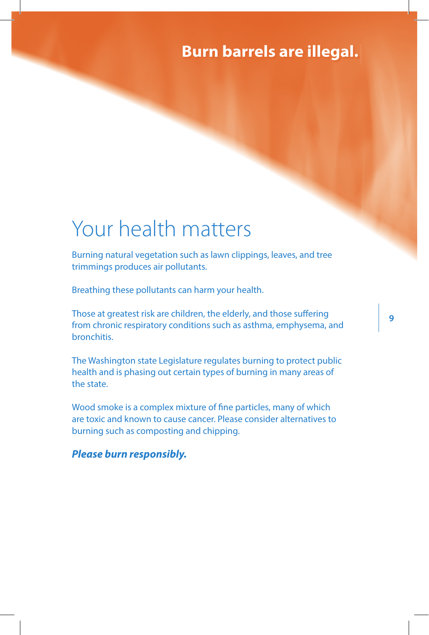### **Burn barrels are illegal.**

**9**

### Your health matters

Burning natural vegetation such as lawn clippings, leaves, and tree trimmings produces air pollutants.

Breathing these pollutants can harm your health.

Those at greatest risk are children, the elderly, and those suffering from chronic respiratory conditions such as asthma, emphysema, and **bronchitis** 

The Washington state Legislature regulates burning to protect public health and is phasing out certain types of burning in many areas of the state.

Wood smoke is a complex mixture of fine particles, many of which are toxic and known to cause cancer. Please consider alternatives to burning such as composting and chipping.

*Please burn responsibly.*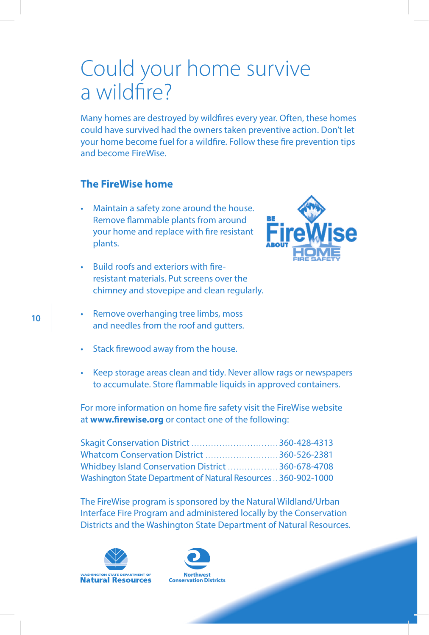### Could your home survive a wildfire?

Many homes are destroyed by wildfires every year. Often, these homes could have survived had the owners taken preventive action. Don't let your home become fuel for a wildfire. Follow these fire prevention tips and become FireWise.

#### **The FireWise home**

- Maintain a safety zone around the house. Remove flammable plants from around your home and replace with fire resistant plants.
- Build roofs and exteriors with fireresistant materials. Put screens over the chimney and stovepipe and clean regularly.
- Remove overhanging tree limbs, moss and needles from the roof and gutters.
- Stack firewood away from the house.
- Keep storage areas clean and tidy. Never allow rags or newspapers to accumulate. Store flammable liquids in approved containers.

For more information on home fire safety visit the FireWise website at **www.firewise.org** or contact one of the following:

| Skagit Conservation District 360-428-4313                      |  |
|----------------------------------------------------------------|--|
| Whatcom Conservation District 360-526-2381                     |  |
| Whidbey Island Conservation District  360-678-4708             |  |
| Washington State Department of Natural Resources  360-902-1000 |  |

The FireWise program is sponsored by the Natural Wildland/Urban Interface Fire Program and administered locally by the Conservation Districts and the Washington State Department of Natural Resources.





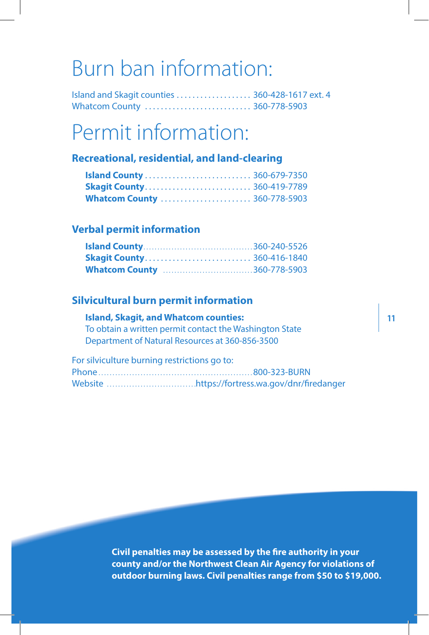### Burn ban information:

Island and Skagit counties . . . . . . . . . . . . . . . . . . . 360-428-1617 ext. 4 Whatcom County .............................. 360-778-5903

## Permit information:

#### **Recreational, residential, and land-clearing**

| <b>Skagit County 360-419-7789</b>   |  |
|-------------------------------------|--|
| <b>Whatcom County  360-778-5903</b> |  |

#### **Verbal permit information**

| <b>Skagit County 360-416-1840</b>  |  |
|------------------------------------|--|
| <b>Whatcom County 360-778-5903</b> |  |

#### **Silvicultural burn permit information**

#### **Island, Skagit, and Whatcom counties:**

To obtain a written permit contact the Washington State Department of Natural Resources at 360-856-3500

For silviculture burning restrictions go to:

**Civil penalties may be assessed by the fire authority in your county and/or the Northwest Clean Air Agency for violations of outdoor burning laws. Civil penalties range from \$50 to \$19,000.**